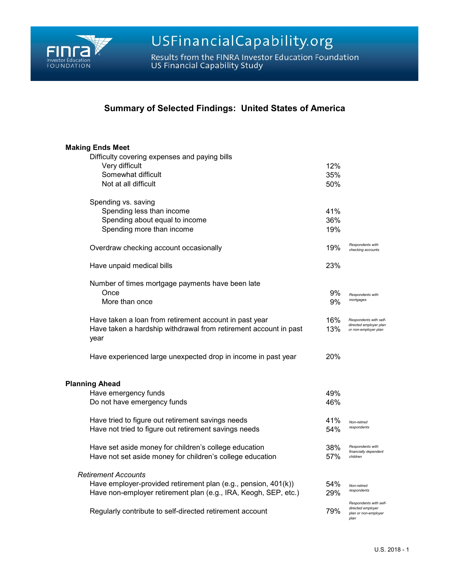

USFinancialCapability.org

Results from the FINRA Investor Education Foundation<br>US Financial Capability Study

## **Summary of Selected Findings: United States of America**

| <b>Making Ends Meet</b>                                                  |     |                                                                             |
|--------------------------------------------------------------------------|-----|-----------------------------------------------------------------------------|
| Difficulty covering expenses and paying bills                            |     |                                                                             |
| Very difficult                                                           | 12% |                                                                             |
| Somewhat difficult                                                       | 35% |                                                                             |
| Not at all difficult                                                     | 50% |                                                                             |
| Spending vs. saving                                                      |     |                                                                             |
| Spending less than income                                                | 41% |                                                                             |
| Spending about equal to income                                           | 36% |                                                                             |
| Spending more than income                                                | 19% |                                                                             |
| Overdraw checking account occasionally                                   | 19% | Respondents with<br>checking accounts                                       |
| Have unpaid medical bills                                                | 23% |                                                                             |
| Number of times mortgage payments have been late                         |     |                                                                             |
| Once                                                                     | 9%  | Respondents with                                                            |
| More than once                                                           | 9%  | mortgages                                                                   |
| Have taken a loan from retirement account in past year                   | 16% | Respondents with self-                                                      |
| Have taken a hardship withdrawal from retirement account in past<br>year | 13% | directed employer plan<br>or non-employer plan                              |
| Have experienced large unexpected drop in income in past year            | 20% |                                                                             |
| <b>Planning Ahead</b>                                                    |     |                                                                             |
| Have emergency funds                                                     | 49% |                                                                             |
| Do not have emergency funds                                              | 46% |                                                                             |
| Have tried to figure out retirement savings needs                        | 41% | Non-retired                                                                 |
| Have not tried to figure out retirement savings needs                    | 54% | respondents                                                                 |
| Have set aside money for children's college education                    | 38% | Respondents with<br>financially dependent                                   |
| Have not set aside money for children's college education                | 57% | children                                                                    |
| <b>Retirement Accounts</b>                                               |     |                                                                             |
| Have employer-provided retirement plan (e.g., pension, 401(k))           | 54% | Non-retired                                                                 |
| Have non-employer retirement plan (e.g., IRA, Keogh, SEP, etc.)          | 29% | respondents                                                                 |
| Regularly contribute to self-directed retirement account                 | 79% | Respondents with self-<br>directed employer<br>plan or non-employer<br>plan |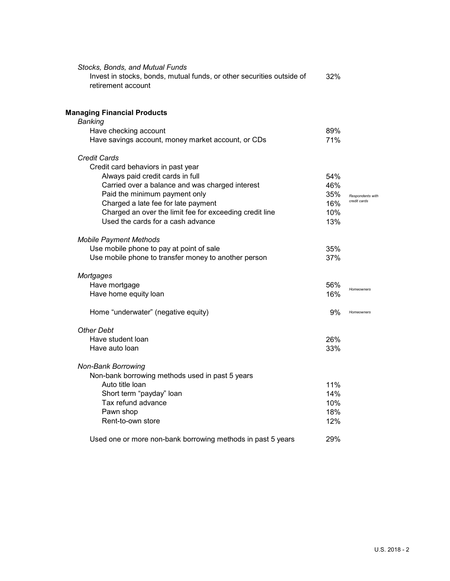| Stocks, Bonds, and Mutual Funds<br>Invest in stocks, bonds, mutual funds, or other securities outside of<br>retirement account | 32% |                  |
|--------------------------------------------------------------------------------------------------------------------------------|-----|------------------|
| <b>Managing Financial Products</b>                                                                                             |     |                  |
| <b>Banking</b>                                                                                                                 |     |                  |
| Have checking account                                                                                                          | 89% |                  |
| Have savings account, money market account, or CDs                                                                             | 71% |                  |
| <b>Credit Cards</b>                                                                                                            |     |                  |
| Credit card behaviors in past year                                                                                             |     |                  |
| Always paid credit cards in full                                                                                               | 54% |                  |
| Carried over a balance and was charged interest                                                                                | 46% |                  |
| Paid the minimum payment only                                                                                                  | 35% | Respondents with |
| Charged a late fee for late payment                                                                                            | 16% | credit cards     |
| Charged an over the limit fee for exceeding credit line                                                                        | 10% |                  |
| Used the cards for a cash advance                                                                                              | 13% |                  |
| <b>Mobile Payment Methods</b>                                                                                                  |     |                  |
| Use mobile phone to pay at point of sale                                                                                       | 35% |                  |
| Use mobile phone to transfer money to another person                                                                           | 37% |                  |
| Mortgages                                                                                                                      |     |                  |
| Have mortgage                                                                                                                  | 56% | Homeowners       |
| Have home equity loan                                                                                                          | 16% |                  |
| Home "underwater" (negative equity)                                                                                            | 9%  | Homeowners       |
| <b>Other Debt</b>                                                                                                              |     |                  |
| Have student loan                                                                                                              | 26% |                  |
| Have auto loan                                                                                                                 | 33% |                  |
| <b>Non-Bank Borrowing</b>                                                                                                      |     |                  |
| Non-bank borrowing methods used in past 5 years                                                                                |     |                  |
| Auto title Ioan                                                                                                                | 11% |                  |
| Short term "payday" loan                                                                                                       | 14% |                  |
| Tax refund advance                                                                                                             | 10% |                  |
| Pawn shop                                                                                                                      | 18% |                  |
| Rent-to-own store                                                                                                              | 12% |                  |
| Used one or more non-bank borrowing methods in past 5 years                                                                    | 29% |                  |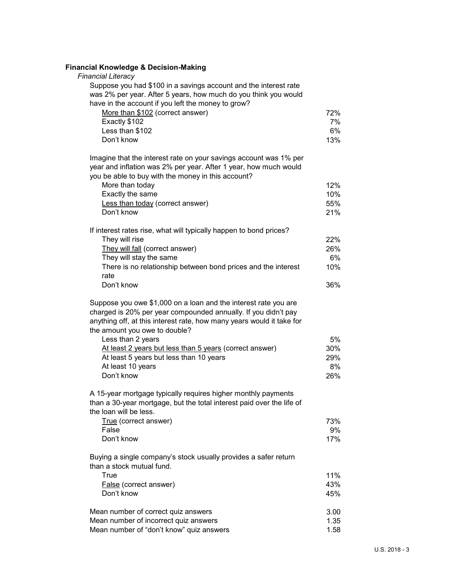| <b>Financial Knowledge &amp; Decision-Making</b>                                                                                                                                                                                            |            |
|---------------------------------------------------------------------------------------------------------------------------------------------------------------------------------------------------------------------------------------------|------------|
| <b>Financial Literacy</b><br>Suppose you had \$100 in a savings account and the interest rate                                                                                                                                               |            |
| was 2% per year. After 5 years, how much do you think you would<br>have in the account if you left the money to grow?                                                                                                                       |            |
| More than \$102 (correct answer)                                                                                                                                                                                                            | 72%        |
| Exactly \$102                                                                                                                                                                                                                               | 7%         |
| Less than \$102                                                                                                                                                                                                                             | 6%         |
| Don't know                                                                                                                                                                                                                                  | 13%        |
| Imagine that the interest rate on your savings account was 1% per                                                                                                                                                                           |            |
| year and inflation was 2% per year. After 1 year, how much would                                                                                                                                                                            |            |
| you be able to buy with the money in this account?                                                                                                                                                                                          |            |
| More than today                                                                                                                                                                                                                             | 12%        |
| Exactly the same                                                                                                                                                                                                                            | 10%        |
| Less than today (correct answer)<br>Don't know                                                                                                                                                                                              | 55%<br>21% |
|                                                                                                                                                                                                                                             |            |
| If interest rates rise, what will typically happen to bond prices?                                                                                                                                                                          |            |
| They will rise                                                                                                                                                                                                                              | 22%        |
| They will fall (correct answer)                                                                                                                                                                                                             | 26%        |
| They will stay the same                                                                                                                                                                                                                     | 6%         |
| There is no relationship between bond prices and the interest<br>rate                                                                                                                                                                       | 10%        |
| Don't know                                                                                                                                                                                                                                  | 36%        |
| Suppose you owe \$1,000 on a loan and the interest rate you are<br>charged is 20% per year compounded annually. If you didn't pay<br>anything off, at this interest rate, how many years would it take for<br>the amount you owe to double? |            |
| Less than 2 years                                                                                                                                                                                                                           | 5%         |
| At least 2 years but less than 5 years (correct answer)                                                                                                                                                                                     | 30%        |
| At least 5 years but less than 10 years                                                                                                                                                                                                     | 29%        |
| At least 10 years<br>Don't know                                                                                                                                                                                                             | 8%<br>26%  |
|                                                                                                                                                                                                                                             |            |
| A 15-year mortgage typically requires higher monthly payments<br>than a 30-year mortgage, but the total interest paid over the life of<br>the loan will be less.                                                                            |            |
| True (correct answer)                                                                                                                                                                                                                       | 73%        |
| False                                                                                                                                                                                                                                       | 9%         |
| Don't know                                                                                                                                                                                                                                  | 17%        |
| Buying a single company's stock usually provides a safer return<br>than a stock mutual fund.                                                                                                                                                |            |
| True                                                                                                                                                                                                                                        | 11%        |
| False (correct answer)                                                                                                                                                                                                                      | 43%        |
| Don't know                                                                                                                                                                                                                                  | 45%        |
| Mean number of correct quiz answers                                                                                                                                                                                                         | 3.00       |
| Mean number of incorrect quiz answers                                                                                                                                                                                                       | 1.35       |
| Mean number of "don't know" quiz answers                                                                                                                                                                                                    | 1.58       |